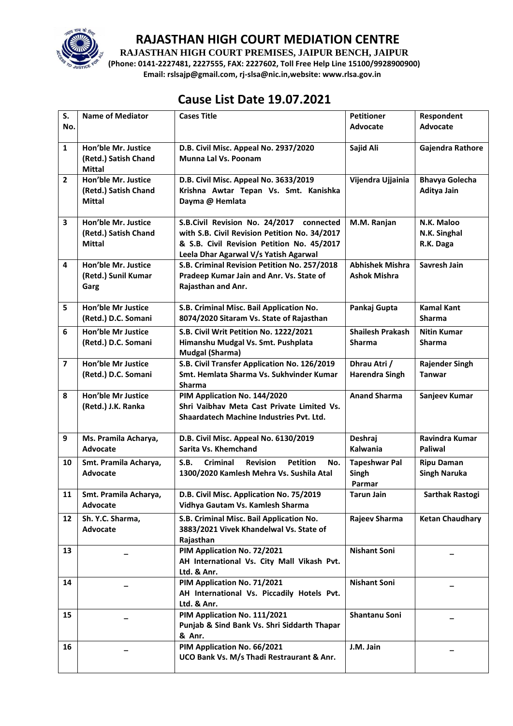

**RAJASTHAN HIGH COURT PREMISES, JAIPUR BENCH, JAIPUR**

**(Phone: 0141-2227481, 2227555, FAX: 2227602, Toll Free Help Line 15100/9928900900) Email: rslsajp@gmail.com, rj-slsa@nic.in,website: www.rlsa.gov.in**

# **Cause List Date 19.07.2021**

| S.             | <b>Name of Mediator</b>                                      | <b>Cases Title</b>                                                                                                                                                               | <b>Petitioner</b>                             | Respondent                               |
|----------------|--------------------------------------------------------------|----------------------------------------------------------------------------------------------------------------------------------------------------------------------------------|-----------------------------------------------|------------------------------------------|
| No.            |                                                              |                                                                                                                                                                                  | <b>Advocate</b>                               | <b>Advocate</b>                          |
| $\mathbf{1}$   | Hon'ble Mr. Justice<br>(Retd.) Satish Chand<br><b>Mittal</b> | D.B. Civil Misc. Appeal No. 2937/2020<br><b>Munna Lal Vs. Poonam</b>                                                                                                             | Sajid Ali                                     | Gajendra Rathore                         |
| $\overline{2}$ | Hon'ble Mr. Justice<br>(Retd.) Satish Chand<br>Mittal        | D.B. Civil Misc. Appeal No. 3633/2019<br>Krishna Awtar Tepan Vs. Smt. Kanishka<br>Dayma @ Hemlata                                                                                | Vijendra Ujjainia                             | <b>Bhavya Golecha</b><br>Aditya Jain     |
| 3              | Hon'ble Mr. Justice<br>(Retd.) Satish Chand<br><b>Mittal</b> | S.B.Civil Revision No. 24/2017 connected<br>with S.B. Civil Revision Petition No. 34/2017<br>& S.B. Civil Revision Petition No. 45/2017<br>Leela Dhar Agarwal V/s Yatish Agarwal | M.M. Ranjan                                   | N.K. Maloo<br>N.K. Singhal<br>R.K. Daga  |
| 4              | Hon'ble Mr. Justice<br>(Retd.) Sunil Kumar<br>Garg           | S.B. Criminal Revision Petition No. 257/2018<br>Pradeep Kumar Jain and Anr. Vs. State of<br>Rajasthan and Anr.                                                                   | <b>Abhishek Mishra</b><br><b>Ashok Mishra</b> | Savresh Jain                             |
| 5              | Hon'ble Mr Justice<br>(Retd.) D.C. Somani                    | S.B. Criminal Misc. Bail Application No.<br>8074/2020 Sitaram Vs. State of Rajasthan                                                                                             | Pankaj Gupta                                  | <b>Kamal Kant</b><br><b>Sharma</b>       |
| 6              | <b>Hon'ble Mr Justice</b><br>(Retd.) D.C. Somani             | S.B. Civil Writ Petition No. 1222/2021<br>Himanshu Mudgal Vs. Smt. Pushplata<br><b>Mudgal (Sharma)</b>                                                                           | <b>Shailesh Prakash</b><br><b>Sharma</b>      | <b>Nitin Kumar</b><br><b>Sharma</b>      |
| $\overline{7}$ | <b>Hon'ble Mr Justice</b><br>(Retd.) D.C. Somani             | S.B. Civil Transfer Application No. 126/2019<br>Smt. Hemlata Sharma Vs. Sukhvinder Kumar<br><b>Sharma</b>                                                                        | Dhrau Atri /<br><b>Harendra Singh</b>         | <b>Rajender Singh</b><br><b>Tanwar</b>   |
| 8              | Hon'ble Mr Justice<br>(Retd.) J.K. Ranka                     | PIM Application No. 144/2020<br>Shri Vaibhav Meta Cast Private Limited Vs.<br><b>Shaardatech Machine Industries Pvt. Ltd.</b>                                                    | <b>Anand Sharma</b>                           | Sanjeev Kumar                            |
| 9              | Ms. Pramila Acharya,<br><b>Advocate</b>                      | D.B. Civil Misc. Appeal No. 6130/2019<br>Sarita Vs. Khemchand                                                                                                                    | Deshraj<br>Kalwania                           | Ravindra Kumar<br><b>Paliwal</b>         |
| 10             | Smt. Pramila Acharya,<br><b>Advocate</b>                     | S.B.<br><b>Petition</b><br>Criminal<br><b>Revision</b><br>No.<br>1300/2020 Kamlesh Mehra Vs. Sushila Atal                                                                        | <b>Tapeshwar Pal</b><br>Singh<br>Parmar       | <b>Ripu Daman</b><br><b>Singh Naruka</b> |
| 11             | Smt. Pramila Acharya,<br>Advocate                            | D.B. Civil Misc. Application No. 75/2019<br>Vidhya Gautam Vs. Kamlesh Sharma                                                                                                     | Tarun Jain                                    | Sarthak Rastogi                          |
| 12             | Sh. Y.C. Sharma,<br>Advocate                                 | S.B. Criminal Misc. Bail Application No.<br>3883/2021 Vivek Khandelwal Vs. State of<br>Rajasthan                                                                                 | Rajeev Sharma                                 | <b>Ketan Chaudhary</b>                   |
| 13             |                                                              | PIM Application No. 72/2021<br>AH International Vs. City Mall Vikash Pvt.<br>Ltd. & Anr.                                                                                         | <b>Nishant Soni</b>                           |                                          |
| 14             |                                                              | PIM Application No. 71/2021<br>AH International Vs. Piccadily Hotels Pvt.<br>Ltd. & Anr.                                                                                         | <b>Nishant Soni</b>                           |                                          |
| 15             |                                                              | PIM Application No. 111/2021<br>Punjab & Sind Bank Vs. Shri Siddarth Thapar<br>& Anr.                                                                                            | Shantanu Soni                                 |                                          |
| 16             |                                                              | PIM Application No. 66/2021<br>UCO Bank Vs. M/s Thadi Restraurant & Anr.                                                                                                         | J.M. Jain                                     |                                          |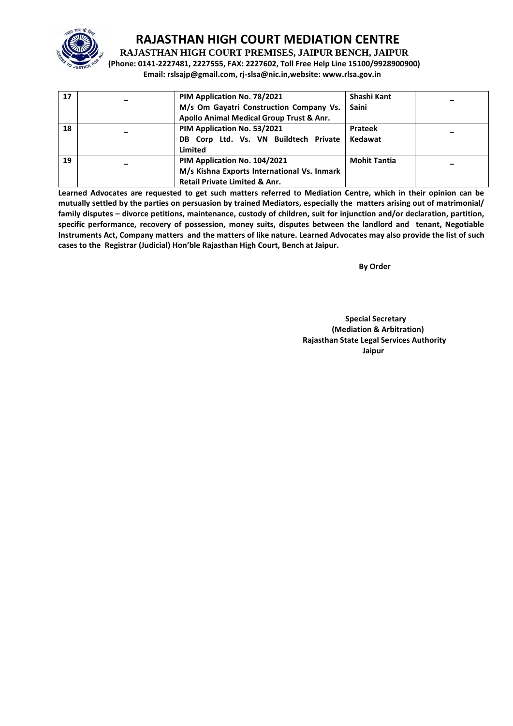

**RAJASTHAN HIGH COURT PREMISES, JAIPUR BENCH, JAIPUR**

**(Phone: 0141-2227481, 2227555, FAX: 2227602, Toll Free Help Line 15100/9928900900) Email: rslsajp@gmail.com, rj-slsa@nic.in,website: www.rlsa.gov.in**

| 17 | PIM Application No. 78/2021<br>M/s Om Gayatri Construction Company Vs.<br>Apollo Animal Medical Group Trust & Anr.      | Shashi Kant<br>Saini      |  |
|----|-------------------------------------------------------------------------------------------------------------------------|---------------------------|--|
| 18 | PIM Application No. 53/2021<br>DB Corp Ltd. Vs. VN Buildtech Private<br>Limited                                         | <b>Prateek</b><br>Kedawat |  |
| 19 | PIM Application No. 104/2021<br>M/s Kishna Exports International Vs. Inmark<br><b>Retail Private Limited &amp; Anr.</b> | <b>Mohit Tantia</b>       |  |

**Learned Advocates are requested to get such matters referred to Mediation Centre, which in their opinion can be mutually settled by the parties on persuasion by trained Mediators, especially the matters arising out of matrimonial/ family disputes – divorce petitions, maintenance, custody of children, suit for injunction and/or declaration, partition, specific performance, recovery of possession, money suits, disputes between the landlord and tenant, Negotiable Instruments Act, Company matters and the matters of like nature. Learned Advocates may also provide the list of such cases to the Registrar (Judicial) Hon'ble Rajasthan High Court, Bench at Jaipur.** 

 **By Order** 

 **Special Secretary (Mediation & Arbitration) Rajasthan State Legal Services Authority** ا **Jaipur** کان است که از این است که از این است که از این است که از این است که از این است که از این است که از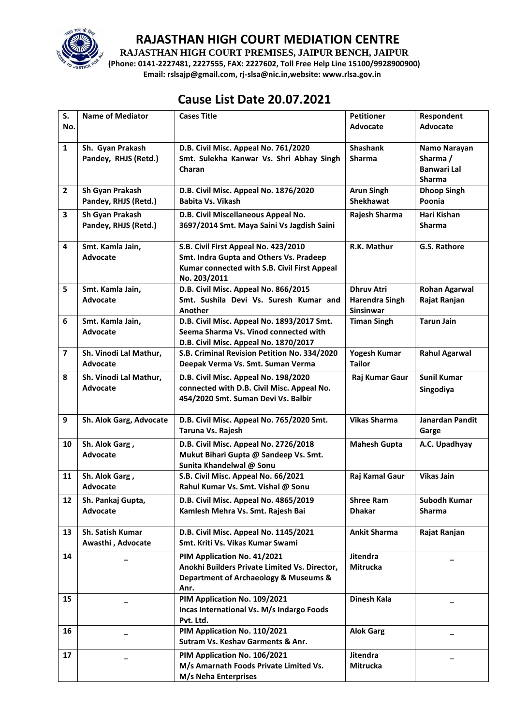

**RAJASTHAN HIGH COURT PREMISES, JAIPUR BENCH, JAIPUR**

**(Phone: 0141-2227481, 2227555, FAX: 2227602, Toll Free Help Line 15100/9928900900) Email: rslsajp@gmail.com, rj-slsa@nic.in,website: www.rlsa.gov.in**

# **Cause List Date 20.07.2021**

| S.               | <b>Name of Mediator</b>               | <b>Cases Title</b>                                                             | <b>Petitioner</b>           | Respondent                          |
|------------------|---------------------------------------|--------------------------------------------------------------------------------|-----------------------------|-------------------------------------|
| No.              |                                       |                                                                                | <b>Advocate</b>             | <b>Advocate</b>                     |
| $\mathbf{1}$     | Sh. Gyan Prakash                      | D.B. Civil Misc. Appeal No. 761/2020                                           | <b>Shashank</b>             | Namo Narayan                        |
|                  | Pandey, RHJS (Retd.)                  | Smt. Sulekha Kanwar Vs. Shri Abhay Singh                                       | Sharma                      | Sharma /                            |
|                  |                                       | Charan                                                                         |                             | <b>Banwari Lal</b>                  |
| $\overline{2}$   | Sh Gyan Prakash                       | D.B. Civil Misc. Appeal No. 1876/2020                                          | <b>Arun Singh</b>           | <b>Sharma</b><br><b>Dhoop Singh</b> |
|                  | Pandey, RHJS (Retd.)                  | <b>Babita Vs. Vikash</b>                                                       | <b>Shekhawat</b>            | Poonia                              |
|                  |                                       |                                                                                |                             |                                     |
| 3                | Sh Gyan Prakash                       | D.B. Civil Miscellaneous Appeal No.                                            | <b>Rajesh Sharma</b>        | Hari Kishan                         |
|                  | Pandey, RHJS (Retd.)                  | 3697/2014 Smt. Maya Saini Vs Jagdish Saini                                     |                             | <b>Sharma</b>                       |
| 4                | Smt. Kamla Jain,                      | S.B. Civil First Appeal No. 423/2010                                           | R.K. Mathur                 | G.S. Rathore                        |
|                  | <b>Advocate</b>                       | Smt. Indra Gupta and Others Vs. Pradeep                                        |                             |                                     |
|                  |                                       | Kumar connected with S.B. Civil First Appeal                                   |                             |                                     |
|                  |                                       | No. 203/2011                                                                   |                             |                                     |
| 5                | Smt. Kamla Jain,                      | D.B. Civil Misc. Appeal No. 866/2015                                           | <b>Dhruv Atri</b>           | <b>Rohan Agarwal</b>                |
|                  | <b>Advocate</b>                       | Smt. Sushila Devi Vs. Suresh Kumar and                                         | <b>Harendra Singh</b>       | Rajat Ranjan                        |
|                  |                                       | Another                                                                        | Sinsinwar                   |                                     |
| 6                | Smt. Kamla Jain,                      | D.B. Civil Misc. Appeal No. 1893/2017 Smt.                                     | <b>Timan Singh</b>          | <b>Tarun Jain</b>                   |
|                  | <b>Advocate</b>                       | Seema Sharma Vs. Vinod connected with<br>D.B. Civil Misc. Appeal No. 1870/2017 |                             |                                     |
| $\overline{7}$   | Sh. Vinodi Lal Mathur,                | S.B. Criminal Revision Petition No. 334/2020                                   | <b>Yogesh Kumar</b>         | <b>Rahul Agarwal</b>                |
|                  | <b>Advocate</b>                       | Deepak Verma Vs. Smt. Suman Verma                                              | <b>Tailor</b>               |                                     |
| 8                | Sh. Vinodi Lal Mathur,                | D.B. Civil Misc. Appeal No. 198/2020                                           | Raj Kumar Gaur              | <b>Sunil Kumar</b>                  |
|                  | Advocate                              | connected with D.B. Civil Misc. Appeal No.                                     |                             | Singodiya                           |
|                  |                                       | 454/2020 Smt. Suman Devi Vs. Balbir                                            |                             |                                     |
|                  |                                       |                                                                                |                             |                                     |
| $\boldsymbol{9}$ | Sh. Alok Garg, Advocate               | D.B. Civil Misc. Appeal No. 765/2020 Smt.                                      | <b>Vikas Sharma</b>         | Janardan Pandit                     |
|                  |                                       | Taruna Vs. Rajesh                                                              |                             | Garge                               |
| 10               | Sh. Alok Garg,                        | D.B. Civil Misc. Appeal No. 2726/2018                                          | <b>Mahesh Gupta</b>         | A.C. Upadhyay                       |
|                  | Advocate                              | Mukut Bihari Gupta @ Sandeep Vs. Smt.                                          |                             |                                     |
|                  |                                       | Sunita Khandelwal @ Sonu                                                       |                             |                                     |
| 11               | Sh. Alok Garg,                        | S.B. Civil Misc. Appeal No. 66/2021                                            | Raj Kamal Gaur              | <b>Vikas Jain</b>                   |
|                  | Advocate                              | Rahul Kumar Vs. Smt. Vishal @ Sonu                                             |                             |                                     |
| 12               | Sh. Pankaj Gupta,                     | D.B. Civil Misc. Appeal No. 4865/2019                                          | <b>Shree Ram</b>            | <b>Subodh Kumar</b>                 |
|                  | <b>Advocate</b>                       | Kamlesh Mehra Vs. Smt. Rajesh Bai                                              | <b>Dhakar</b>               | <b>Sharma</b>                       |
|                  |                                       |                                                                                |                             |                                     |
| 13               | Sh. Satish Kumar<br>Awasthi, Advocate | D.B. Civil Misc. Appeal No. 1145/2021<br>Smt. Kriti Vs. Vikas Kumar Swami      | <b>Ankit Sharma</b>         | Rajat Ranjan                        |
|                  |                                       |                                                                                |                             |                                     |
| 14               |                                       | PIM Application No. 41/2021<br>Anokhi Builders Private Limited Vs. Director,   | Jitendra<br><b>Mitrucka</b> |                                     |
|                  |                                       | Department of Archaeology & Museums &                                          |                             |                                     |
|                  |                                       | Anr.                                                                           |                             |                                     |
| 15               |                                       | PIM Application No. 109/2021                                                   | Dinesh Kala                 |                                     |
|                  |                                       | Incas International Vs. M/s Indargo Foods                                      |                             |                                     |
|                  |                                       | Pvt. Ltd.                                                                      |                             |                                     |
| 16               |                                       | PIM Application No. 110/2021                                                   | <b>Alok Garg</b>            |                                     |
|                  |                                       | Sutram Vs. Keshav Garments & Anr.                                              |                             |                                     |
| 17               |                                       | PIM Application No. 106/2021                                                   | Jitendra                    |                                     |
|                  |                                       | M/s Amarnath Foods Private Limited Vs.                                         | Mitrucka                    |                                     |
|                  |                                       | M/s Neha Enterprises                                                           |                             |                                     |